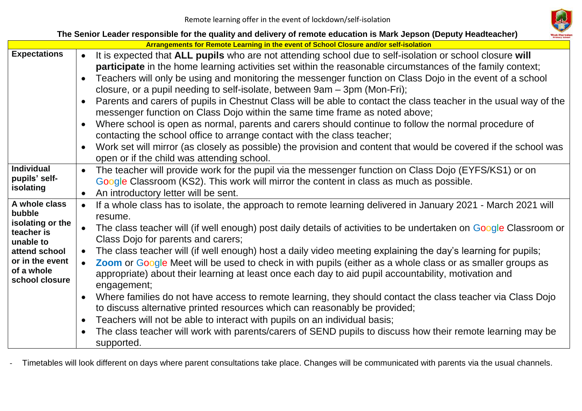

| The Senior Leader responsible for the quality and delivery of remote education is Mark Jepson (Deputy Headteacher)                         |                                                                                                                                                                                                                                                                                                                                                                                                                                                                                                                                                                                                                                                                                                                                                                                                                                                                                                                                                                                                                                                                      |  |  |  |  |
|--------------------------------------------------------------------------------------------------------------------------------------------|----------------------------------------------------------------------------------------------------------------------------------------------------------------------------------------------------------------------------------------------------------------------------------------------------------------------------------------------------------------------------------------------------------------------------------------------------------------------------------------------------------------------------------------------------------------------------------------------------------------------------------------------------------------------------------------------------------------------------------------------------------------------------------------------------------------------------------------------------------------------------------------------------------------------------------------------------------------------------------------------------------------------------------------------------------------------|--|--|--|--|
|                                                                                                                                            | Arrangements for Remote Learning in the event of School Closure and/or self-isolation                                                                                                                                                                                                                                                                                                                                                                                                                                                                                                                                                                                                                                                                                                                                                                                                                                                                                                                                                                                |  |  |  |  |
| <b>Expectations</b>                                                                                                                        | It is expected that ALL pupils who are not attending school due to self-isolation or school closure will<br>participate in the home learning activities set within the reasonable circumstances of the family context;<br>Teachers will only be using and monitoring the messenger function on Class Dojo in the event of a school<br>$\bullet$<br>closure, or a pupil needing to self-isolate, between 9am – 3pm (Mon-Fri);<br>Parents and carers of pupils in Chestnut Class will be able to contact the class teacher in the usual way of the<br>messenger function on Class Dojo within the same time frame as noted above;<br>Where school is open as normal, parents and carers should continue to follow the normal procedure of<br>contacting the school office to arrange contact with the class teacher;<br>Work set will mirror (as closely as possible) the provision and content that would be covered if the school was<br>$\bullet$<br>open or if the child was attending school.                                                                     |  |  |  |  |
| <b>Individual</b><br>pupils' self-<br>isolating                                                                                            | The teacher will provide work for the pupil via the messenger function on Class Dojo (EYFS/KS1) or on<br>Google Classroom (KS2). This work will mirror the content in class as much as possible.<br>An introductory letter will be sent.                                                                                                                                                                                                                                                                                                                                                                                                                                                                                                                                                                                                                                                                                                                                                                                                                             |  |  |  |  |
| A whole class<br>bubble<br>isolating or the<br>teacher is<br>unable to<br>attend school<br>or in the event<br>of a whole<br>school closure | If a whole class has to isolate, the approach to remote learning delivered in January 2021 - March 2021 will<br>resume.<br>The class teacher will (if well enough) post daily details of activities to be undertaken on Google Classroom or<br>Class Dojo for parents and carers;<br>The class teacher will (if well enough) host a daily video meeting explaining the day's learning for pupils;<br>Zoom or Google Meet will be used to check in with pupils (either as a whole class or as smaller groups as<br>appropriate) about their learning at least once each day to aid pupil accountability, motivation and<br>engagement;<br>Where families do not have access to remote learning, they should contact the class teacher via Class Dojo<br>$\bullet$<br>to discuss alternative printed resources which can reasonably be provided;<br>Teachers will not be able to interact with pupils on an individual basis;<br>$\bullet$<br>The class teacher will work with parents/carers of SEND pupils to discuss how their remote learning may be<br>supported. |  |  |  |  |

- Timetables will look different on days where parent consultations take place. Changes will be communicated with parents via the usual channels.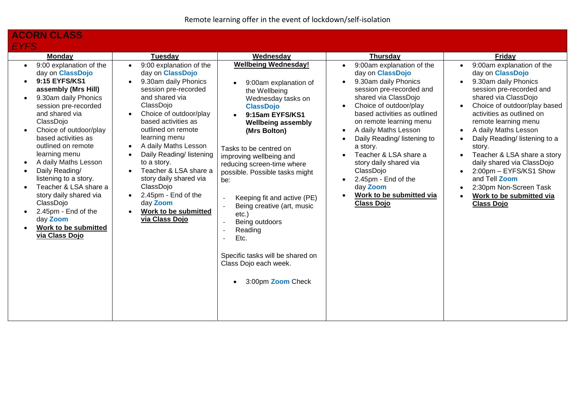# **ACORN CLASS** *EYFS*

| <b>Monday</b>                                                                                                                                                                                                                                                                                                                                                                                                                                                                                                                                            | Tuesday                                                                                                                                                                                                                                                                                                                                                                                                                                                                                                    | Wednesday                                                                                                                                                                                                                                                                                                                                                                                                                                                                                                                                                                                       | <b>Thursday</b>                                                                                                                                                                                                                                                                                                                                                                                                                                                                                                                                      | Friday                                                                                                                                                                                                                                                                                                                                                                                                                                                                                                                                                                                           |
|----------------------------------------------------------------------------------------------------------------------------------------------------------------------------------------------------------------------------------------------------------------------------------------------------------------------------------------------------------------------------------------------------------------------------------------------------------------------------------------------------------------------------------------------------------|------------------------------------------------------------------------------------------------------------------------------------------------------------------------------------------------------------------------------------------------------------------------------------------------------------------------------------------------------------------------------------------------------------------------------------------------------------------------------------------------------------|-------------------------------------------------------------------------------------------------------------------------------------------------------------------------------------------------------------------------------------------------------------------------------------------------------------------------------------------------------------------------------------------------------------------------------------------------------------------------------------------------------------------------------------------------------------------------------------------------|------------------------------------------------------------------------------------------------------------------------------------------------------------------------------------------------------------------------------------------------------------------------------------------------------------------------------------------------------------------------------------------------------------------------------------------------------------------------------------------------------------------------------------------------------|--------------------------------------------------------------------------------------------------------------------------------------------------------------------------------------------------------------------------------------------------------------------------------------------------------------------------------------------------------------------------------------------------------------------------------------------------------------------------------------------------------------------------------------------------------------------------------------------------|
| 9:00 explanation of the<br>$\bullet$<br>day on ClassDojo<br>9:15 EYFS/KS1<br>assembly (Mrs Hill)<br>9.30am daily Phonics<br>$\bullet$<br>session pre-recorded<br>and shared via<br>ClassDojo<br>Choice of outdoor/play<br>$\bullet$<br>based activities as<br>outlined on remote<br>learning menu<br>A daily Maths Lesson<br>$\bullet$<br>Daily Reading/<br>$\bullet$<br>listening to a story.<br>Teacher & LSA share a<br>story daily shared via<br>ClassDojo<br>2.45pm - End of the<br>$\bullet$<br>day Zoom<br>Work to be submitted<br>via Class Dojo | 9:00 explanation of the<br>$\bullet$<br>day on <b>ClassDojo</b><br>9.30am daily Phonics<br>$\bullet$<br>session pre-recorded<br>and shared via<br>ClassDojo<br>Choice of outdoor/play<br>$\bullet$<br>based activities as<br>outlined on remote<br>learning menu<br>A daily Maths Lesson<br>$\bullet$<br>Daily Reading/ listening<br>to a story.<br>Teacher & LSA share a<br>$\bullet$<br>story daily shared via<br>ClassDojo<br>2.45pm - End of the<br>day Zoom<br>Work to be submitted<br>via Class Dojo | <b>Wellbeing Wednesday!</b><br>9:00am explanation of<br>the Wellbeing<br>Wednesday tasks on<br><b>ClassDojo</b><br>9:15am EYFS/KS1<br><b>Wellbeing assembly</b><br>(Mrs Bolton)<br>Tasks to be centred on<br>improving wellbeing and<br>reducing screen-time where<br>possible. Possible tasks might<br>be:<br>Keeping fit and active (PE)<br>$\blacksquare$<br>Being creative (art, music<br>$\overline{\phantom{a}}$<br>$etc.$ )<br>Being outdoors<br>$\overline{\phantom{a}}$<br>Reading<br>$\sim$<br>Etc.<br>Specific tasks will be shared on<br>Class Dojo each week.<br>3:00pm Zoom Check | 9:00am explanation of the<br>$\bullet$<br>day on <b>ClassDojo</b><br>9.30am daily Phonics<br>$\bullet$<br>session pre-recorded and<br>shared via ClassDojo<br>Choice of outdoor/play<br>$\bullet$<br>based activities as outlined<br>on remote learning menu<br>A daily Maths Lesson<br>$\bullet$<br>Daily Reading/ listening to<br>$\bullet$<br>a story.<br>Teacher & LSA share a<br>$\bullet$<br>story daily shared via<br>ClassDojo<br>2.45pm - End of the<br>$\bullet$<br>day Zoom<br>Work to be submitted via<br>$\bullet$<br><b>Class Dojo</b> | 9:00am explanation of the<br>$\bullet$<br>day on <b>ClassDojo</b><br>9.30am daily Phonics<br>$\bullet$<br>session pre-recorded and<br>shared via ClassDojo<br>Choice of outdoor/play based<br>$\bullet$<br>activities as outlined on<br>remote learning menu<br>A daily Maths Lesson<br>$\bullet$<br>Daily Reading/ listening to a<br>$\bullet$<br>story.<br>Teacher & LSA share a story<br>$\bullet$<br>daily shared via ClassDojo<br>2:00pm - EYFS/KS1 Show<br>$\bullet$<br>and Tell Zoom<br>2:30pm Non-Screen Task<br>$\bullet$<br>Work to be submitted via<br>$\bullet$<br><b>Class Dojo</b> |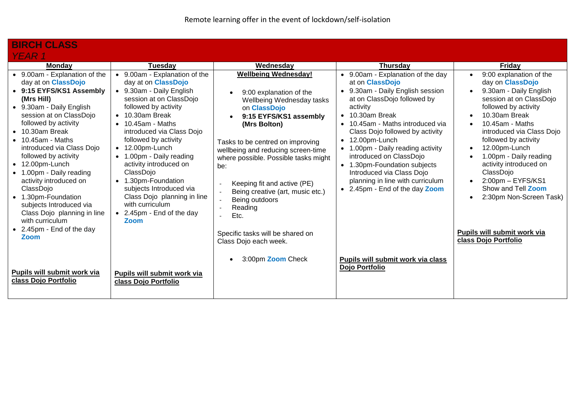| <b>BIRCH CLASS</b>                                                                                                                                                                                                                                                                                                                                                                                                                                                                                                                              |                                                                                                                                                                                                                                                                                                                                                                                                                                                                                                |                                                                                                                                                                                                                                                                                                                                                                                                                                             |                                                                                                                                                                                                                                                                                                                                                                                                                                                                                                        |                                                                                                                                                                                                                                                                                                                                                                                                                                                 |
|-------------------------------------------------------------------------------------------------------------------------------------------------------------------------------------------------------------------------------------------------------------------------------------------------------------------------------------------------------------------------------------------------------------------------------------------------------------------------------------------------------------------------------------------------|------------------------------------------------------------------------------------------------------------------------------------------------------------------------------------------------------------------------------------------------------------------------------------------------------------------------------------------------------------------------------------------------------------------------------------------------------------------------------------------------|---------------------------------------------------------------------------------------------------------------------------------------------------------------------------------------------------------------------------------------------------------------------------------------------------------------------------------------------------------------------------------------------------------------------------------------------|--------------------------------------------------------------------------------------------------------------------------------------------------------------------------------------------------------------------------------------------------------------------------------------------------------------------------------------------------------------------------------------------------------------------------------------------------------------------------------------------------------|-------------------------------------------------------------------------------------------------------------------------------------------------------------------------------------------------------------------------------------------------------------------------------------------------------------------------------------------------------------------------------------------------------------------------------------------------|
| YEAR 1                                                                                                                                                                                                                                                                                                                                                                                                                                                                                                                                          |                                                                                                                                                                                                                                                                                                                                                                                                                                                                                                |                                                                                                                                                                                                                                                                                                                                                                                                                                             |                                                                                                                                                                                                                                                                                                                                                                                                                                                                                                        |                                                                                                                                                                                                                                                                                                                                                                                                                                                 |
| <b>Monday</b>                                                                                                                                                                                                                                                                                                                                                                                                                                                                                                                                   | Tuesday                                                                                                                                                                                                                                                                                                                                                                                                                                                                                        | Wednesday                                                                                                                                                                                                                                                                                                                                                                                                                                   | <b>Thursday</b>                                                                                                                                                                                                                                                                                                                                                                                                                                                                                        | <b>Friday</b>                                                                                                                                                                                                                                                                                                                                                                                                                                   |
| • 9.00am - Explanation of the<br>day at on <b>ClassDojo</b><br>• 9:15 EYFS/KS1 Assembly<br>(Mrs Hill)<br>• 9.30am - Daily English<br>session at on ClassDojo<br>followed by activity<br>$\bullet$ 10.30am Break<br>$\bullet$ 10.45am - Maths<br>introduced via Class Dojo<br>followed by activity<br>$\bullet$ 12.00pm-Lunch<br>• 1.00pm - Daily reading<br>activity introduced on<br>ClassDojo<br>• 1.30pm-Foundation<br>subjects Introduced via<br>Class Dojo planning in line<br>with curriculum<br>• 2.45pm - End of the day<br><b>Zoom</b> | • 9.00am - Explanation of the<br>day at on <b>ClassDojo</b><br>• 9.30am - Daily English<br>session at on ClassDojo<br>followed by activity<br>$\bullet$ 10.30am Break<br>$\bullet$ 10.45am - Maths<br>introduced via Class Dojo<br>followed by activity<br>$\bullet$ 12.00pm-Lunch<br>• 1.00pm - Daily reading<br>activity introduced on<br>ClassDojo<br>• 1.30pm-Foundation<br>subjects Introduced via<br>Class Dojo planning in line<br>with curriculum<br>• 2.45pm - End of the day<br>Zoom | <b>Wellbeing Wednesday!</b><br>9:00 explanation of the<br>Wellbeing Wednesday tasks<br>on ClassDojo<br>9:15 EYFS/KS1 assembly<br>(Mrs Bolton)<br>Tasks to be centred on improving<br>wellbeing and reducing screen-time<br>where possible. Possible tasks might<br>be:<br>Keeping fit and active (PE)<br>Being creative (art, music etc.)<br>Being outdoors<br>Reading<br>Etc.<br>Specific tasks will be shared on<br>Class Dojo each week. | • 9.00am - Explanation of the day<br>at on <b>ClassDojo</b><br>• 9.30am - Daily English session<br>at on ClassDojo followed by<br>activity<br>10.30am Break<br>$\bullet$<br>10.45am - Maths introduced via<br>$\bullet$<br>Class Dojo followed by activity<br>12.00pm-Lunch<br>$\bullet$<br>1.00pm - Daily reading activity<br>$\bullet$<br>introduced on ClassDojo<br>• 1.30pm-Foundation subjects<br>Introduced via Class Dojo<br>planning in line with curriculum<br>• 2.45pm - End of the day Zoom | 9:00 explanation of the<br>day on <b>ClassDojo</b><br>9.30am - Daily English<br>session at on ClassDojo<br>followed by activity<br>10.30am Break<br>$10.45$ am - Maths<br>introduced via Class Dojo<br>followed by activity<br>12.00pm-Lunch<br>1.00pm - Daily reading<br>activity introduced on<br>ClassDojo<br>$2:00$ pm $-$ EYFS/KS1<br>Show and Tell Zoom<br>2:30pm Non-Screen Task)<br>Pupils will submit work via<br>class Dojo Portfolio |
| Pupils will submit work via<br>class Dojo Portfolio                                                                                                                                                                                                                                                                                                                                                                                                                                                                                             | Pupils will submit work via<br>class Dojo Portfolio                                                                                                                                                                                                                                                                                                                                                                                                                                            | 3:00pm Zoom Check<br>$\bullet$                                                                                                                                                                                                                                                                                                                                                                                                              | Pupils will submit work via class<br>Dojo Portfolio                                                                                                                                                                                                                                                                                                                                                                                                                                                    |                                                                                                                                                                                                                                                                                                                                                                                                                                                 |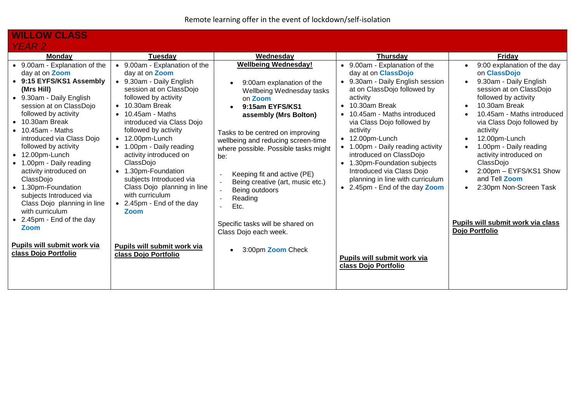#### **WILLOW CLASS**  *YEAR 2*

| EAN 4                                                                                                                                                                                                                                                                                                                                                                                                                                                                                                                       |                                                                                                                                                                                                                                                                                                                                                                                                                                                                                                                     |                                                                                                                                                                                                                                                                                                                                                                                                                                                         |                                                                                                                                                                                                                                                                                                                                                                                                                                                                                                                  |                                                                                                                                                                                                                                                                                                                                                                                       |
|-----------------------------------------------------------------------------------------------------------------------------------------------------------------------------------------------------------------------------------------------------------------------------------------------------------------------------------------------------------------------------------------------------------------------------------------------------------------------------------------------------------------------------|---------------------------------------------------------------------------------------------------------------------------------------------------------------------------------------------------------------------------------------------------------------------------------------------------------------------------------------------------------------------------------------------------------------------------------------------------------------------------------------------------------------------|---------------------------------------------------------------------------------------------------------------------------------------------------------------------------------------------------------------------------------------------------------------------------------------------------------------------------------------------------------------------------------------------------------------------------------------------------------|------------------------------------------------------------------------------------------------------------------------------------------------------------------------------------------------------------------------------------------------------------------------------------------------------------------------------------------------------------------------------------------------------------------------------------------------------------------------------------------------------------------|---------------------------------------------------------------------------------------------------------------------------------------------------------------------------------------------------------------------------------------------------------------------------------------------------------------------------------------------------------------------------------------|
| <b>Mondav</b>                                                                                                                                                                                                                                                                                                                                                                                                                                                                                                               | Tuesday                                                                                                                                                                                                                                                                                                                                                                                                                                                                                                             | Wednesday                                                                                                                                                                                                                                                                                                                                                                                                                                               | <b>Thursday</b>                                                                                                                                                                                                                                                                                                                                                                                                                                                                                                  | Friday                                                                                                                                                                                                                                                                                                                                                                                |
| • 9.00am - Explanation of the<br>day at on <b>Zoom</b><br>• 9:15 EYFS/KS1 Assembly<br>(Mrs Hill)<br>• 9.30am - Daily English<br>session at on ClassDojo<br>followed by activity<br>$\bullet$ 10.30am Break<br>$\bullet$ 10.45am - Maths<br>introduced via Class Dojo<br>followed by activity<br>$\bullet$ 12.00pm-Lunch<br>• 1.00pm - Daily reading<br>activity introduced on<br>ClassDojo<br>• 1.30pm-Foundation<br>subjects Introduced via<br>Class Dojo planning in line<br>with curriculum<br>• 2.45pm - End of the day | 9.00am - Explanation of the<br>day at on <b>Zoom</b><br>• 9.30am - Daily English<br>session at on ClassDojo<br>followed by activity<br>10.30am Break<br>$\bullet$<br>$\bullet$ 10.45am - Maths<br>introduced via Class Dojo<br>followed by activity<br>12.00pm-Lunch<br>$\bullet$<br>1.00pm - Daily reading<br>$\bullet$<br>activity introduced on<br>ClassDojo<br>1.30pm-Foundation<br>$\bullet$<br>subjects Introduced via<br>Class Dojo planning in line<br>with curriculum<br>• 2.45pm - End of the day<br>Zoom | <b>Wellbeing Wednesday!</b><br>9:00am explanation of the<br>Wellbeing Wednesday tasks<br>on Zoom<br>9:15am EYFS/KS1<br>assembly (Mrs Bolton)<br>Tasks to be centred on improving<br>wellbeing and reducing screen-time<br>where possible. Possible tasks might<br>be:<br>Keeping fit and active (PE)<br>$\overline{a}$<br>Being creative (art, music etc.)<br>$\overline{\phantom{a}}$<br>Being outdoors<br>$\overline{\phantom{a}}$<br>Reading<br>Etc. | 9.00am - Explanation of the<br>$\bullet$<br>day at on <b>ClassDojo</b><br>9.30am - Daily English session<br>$\bullet$<br>at on ClassDojo followed by<br>activity<br>10.30am Break<br>$\bullet$<br>10.45am - Maths introduced<br>via Class Dojo followed by<br>activity<br>12.00pm-Lunch<br>$\bullet$<br>1.00pm - Daily reading activity<br>introduced on ClassDojo<br>1.30pm-Foundation subjects<br>$\bullet$<br>Introduced via Class Dojo<br>planning in line with curriculum<br>• 2.45pm - End of the day Zoom | 9:00 explanation of the day<br>$\bullet$<br>on ClassDojo<br>9.30am - Daily English<br>session at on ClassDojo<br>followed by activity<br>10.30am Break<br>10.45am - Maths introduced<br>via Class Dojo followed by<br>activity<br>12.00pm-Lunch<br>1.00pm - Daily reading<br>activity introduced on<br>ClassDojo<br>2:00pm - EYFS/KS1 Show<br>and Tell Zoom<br>2:30pm Non-Screen Task |
| <b>Zoom</b>                                                                                                                                                                                                                                                                                                                                                                                                                                                                                                                 |                                                                                                                                                                                                                                                                                                                                                                                                                                                                                                                     | Specific tasks will be shared on<br>Class Dojo each week.                                                                                                                                                                                                                                                                                                                                                                                               |                                                                                                                                                                                                                                                                                                                                                                                                                                                                                                                  | Pupils will submit work via class<br>Dojo Portfolio                                                                                                                                                                                                                                                                                                                                   |
| Pupils will submit work via<br>class Dojo Portfolio                                                                                                                                                                                                                                                                                                                                                                                                                                                                         | Pupils will submit work via<br>class Dojo Portfolio                                                                                                                                                                                                                                                                                                                                                                                                                                                                 | 3:00pm Zoom Check                                                                                                                                                                                                                                                                                                                                                                                                                                       | Pupils will submit work via<br>class Dojo Portfolio                                                                                                                                                                                                                                                                                                                                                                                                                                                              |                                                                                                                                                                                                                                                                                                                                                                                       |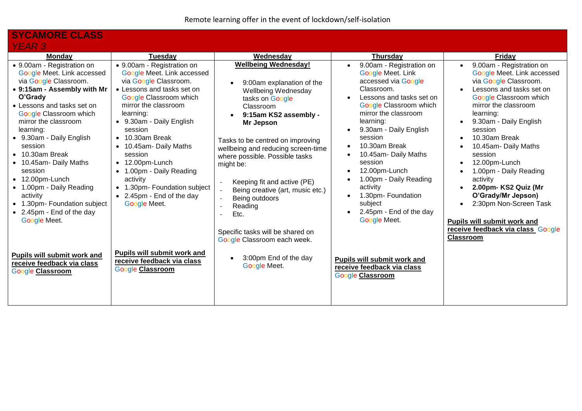#### **SYCAMORE CLASS**  *YEAR 3*

| <u>L/11 \ U</u>                                                                                                                                                                                                                                                                                                                                                                                                                                                                 |                                                                                                                                                                                                                                                                                                                                                                                                                                                                |                                                                                                                                                                                                                                                                                                                                                                                                                                                                                                                |                                                                                                                                                                                                                                                                                                                                                                                                                                                                                                      |                                                                                                                                                                                                                                                                                                                                                                                                                                                                                                                                                                                                                        |
|---------------------------------------------------------------------------------------------------------------------------------------------------------------------------------------------------------------------------------------------------------------------------------------------------------------------------------------------------------------------------------------------------------------------------------------------------------------------------------|----------------------------------------------------------------------------------------------------------------------------------------------------------------------------------------------------------------------------------------------------------------------------------------------------------------------------------------------------------------------------------------------------------------------------------------------------------------|----------------------------------------------------------------------------------------------------------------------------------------------------------------------------------------------------------------------------------------------------------------------------------------------------------------------------------------------------------------------------------------------------------------------------------------------------------------------------------------------------------------|------------------------------------------------------------------------------------------------------------------------------------------------------------------------------------------------------------------------------------------------------------------------------------------------------------------------------------------------------------------------------------------------------------------------------------------------------------------------------------------------------|------------------------------------------------------------------------------------------------------------------------------------------------------------------------------------------------------------------------------------------------------------------------------------------------------------------------------------------------------------------------------------------------------------------------------------------------------------------------------------------------------------------------------------------------------------------------------------------------------------------------|
| <b>Monday</b>                                                                                                                                                                                                                                                                                                                                                                                                                                                                   | <b>Tuesday</b>                                                                                                                                                                                                                                                                                                                                                                                                                                                 | Wednesday                                                                                                                                                                                                                                                                                                                                                                                                                                                                                                      | <b>Thursday</b>                                                                                                                                                                                                                                                                                                                                                                                                                                                                                      | Friday                                                                                                                                                                                                                                                                                                                                                                                                                                                                                                                                                                                                                 |
| • 9.00am - Registration on<br>Google Meet. Link accessed<br>via Google Classroom.<br>• 9:15am - Assembly with Mr<br>O'Grady<br>• Lessons and tasks set on<br>Google Classroom which<br>mirror the classroom<br>learning:<br>• 9.30am - Daily English<br>session<br>$\bullet$ 10.30am Break<br>• 10.45am- Daily Maths<br>session<br>$\bullet$ 12.00pm-Lunch<br>• 1.00pm - Daily Reading<br>activity<br>• 1.30pm- Foundation subject<br>• 2.45pm - End of the day<br>Google Meet. | • 9.00am - Registration on<br>Google Meet. Link accessed<br>via Google Classroom.<br>• Lessons and tasks set on<br>Google Classroom which<br>mirror the classroom<br>learning:<br>• 9.30am - Daily English<br>session<br>$\bullet$ 10.30am Break<br>• 10.45am- Daily Maths<br>session<br>12.00pm-Lunch<br>$\bullet$<br>1.00pm - Daily Reading<br>$\bullet$<br>activity<br>1.30pm- Foundation subject<br>$\bullet$<br>• 2.45pm - End of the day<br>Google Meet. | <b>Wellbeing Wednesday!</b><br>9:00am explanation of the<br><b>Wellbeing Wednesday</b><br>tasks on Google<br>Classroom<br>9:15am KS2 assembly -<br>Mr Jepson<br>Tasks to be centred on improving<br>wellbeing and reducing screen-time<br>where possible. Possible tasks<br>might be:<br>Keeping fit and active (PE)<br>$\blacksquare$<br>Being creative (art, music etc.)<br>Being outdoors<br>$\overline{\phantom{a}}$<br>Reading<br>Etc.<br>Specific tasks will be shared on<br>Google Classroom each week. | 9.00am - Registration on<br>$\bullet$<br>Google Meet. Link<br>accessed via Google<br>Classroom.<br>Lessons and tasks set on<br>Google Classroom which<br>mirror the classroom<br>learning:<br>9.30am - Daily English<br>$\bullet$<br>session<br>10.30am Break<br>$\bullet$<br>10.45am- Daily Maths<br>session<br>12.00pm-Lunch<br>$\bullet$<br>1.00pm - Daily Reading<br>$\bullet$<br>activity<br>1.30pm- Foundation<br>$\bullet$<br>subject<br>2.45pm - End of the day<br>$\bullet$<br>Google Meet. | 9.00am - Registration on<br>$\bullet$<br>Google Meet. Link accessed<br>via Google Classroom.<br>Lessons and tasks set on<br>$\bullet$<br><b>Google Classroom which</b><br>mirror the classroom<br>learning:<br>9.30am - Daily English<br>$\bullet$<br>session<br>10.30am Break<br>$\bullet$<br>10.45am- Daily Maths<br>$\bullet$<br>session<br>12.00pm-Lunch<br>$\bullet$<br>1.00pm - Daily Reading<br>$\bullet$<br>activity<br>2.00pm- KS2 Quiz (Mr<br>$\bullet$<br>O'Grady/Mr Jepson)<br>2:30pm Non-Screen Task<br>$\bullet$<br>Pupils will submit work and<br>receive feedback via class_Google<br><b>Classroom</b> |
| Pupils will submit work and<br>receive feedback via class<br><b>Google Classroom</b>                                                                                                                                                                                                                                                                                                                                                                                            | Pupils will submit work and<br>receive feedback via class<br><b>Google Classroom</b>                                                                                                                                                                                                                                                                                                                                                                           | 3:00pm End of the day<br>Google Meet.                                                                                                                                                                                                                                                                                                                                                                                                                                                                          | Pupils will submit work and<br>receive feedback via class<br>Google Classroom                                                                                                                                                                                                                                                                                                                                                                                                                        |                                                                                                                                                                                                                                                                                                                                                                                                                                                                                                                                                                                                                        |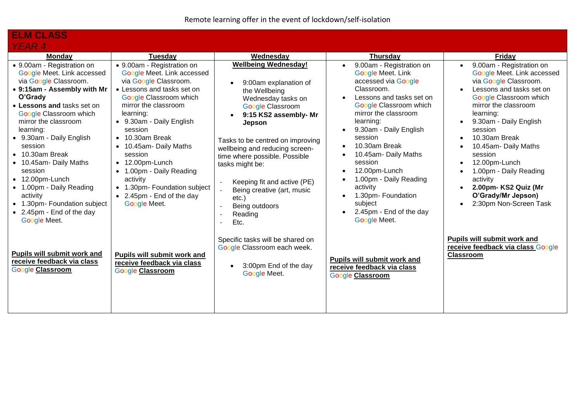| <b>ELM CLASS</b>                                                                                                                                                                                                                                                                                                                                                                                                                                                                       |                                                                                                                                                                                                                                                                                                                                                                                                                                                                           |                                                                                                                                                                                                                                                                                                                                                                                                                                                        |                                                                                                                                                                                                                                                                                                                                                                                                           |                                                                                                                                                                                                                                                                                                                                                                                                    |
|----------------------------------------------------------------------------------------------------------------------------------------------------------------------------------------------------------------------------------------------------------------------------------------------------------------------------------------------------------------------------------------------------------------------------------------------------------------------------------------|---------------------------------------------------------------------------------------------------------------------------------------------------------------------------------------------------------------------------------------------------------------------------------------------------------------------------------------------------------------------------------------------------------------------------------------------------------------------------|--------------------------------------------------------------------------------------------------------------------------------------------------------------------------------------------------------------------------------------------------------------------------------------------------------------------------------------------------------------------------------------------------------------------------------------------------------|-----------------------------------------------------------------------------------------------------------------------------------------------------------------------------------------------------------------------------------------------------------------------------------------------------------------------------------------------------------------------------------------------------------|----------------------------------------------------------------------------------------------------------------------------------------------------------------------------------------------------------------------------------------------------------------------------------------------------------------------------------------------------------------------------------------------------|
| <b>YEAR 4</b>                                                                                                                                                                                                                                                                                                                                                                                                                                                                          |                                                                                                                                                                                                                                                                                                                                                                                                                                                                           |                                                                                                                                                                                                                                                                                                                                                                                                                                                        |                                                                                                                                                                                                                                                                                                                                                                                                           |                                                                                                                                                                                                                                                                                                                                                                                                    |
| <b>Monday</b>                                                                                                                                                                                                                                                                                                                                                                                                                                                                          | <b>Tuesday</b>                                                                                                                                                                                                                                                                                                                                                                                                                                                            | Wednesday                                                                                                                                                                                                                                                                                                                                                                                                                                              | <b>Thursday</b>                                                                                                                                                                                                                                                                                                                                                                                           | Friday                                                                                                                                                                                                                                                                                                                                                                                             |
| • 9.00am - Registration on<br>Google Meet. Link accessed<br>via Google Classroom.<br>• 9:15am - Assembly with Mr<br>O'Grady<br>• Lessons and tasks set on<br><b>Google Classroom which</b><br>mirror the classroom<br>learning:<br>• 9.30am - Daily English<br>session<br>$\bullet$ 10.30am Break<br>• 10.45am- Daily Maths<br>session<br>$\bullet$ 12.00pm-Lunch<br>• 1.00pm - Daily Reading<br>activity<br>• 1.30pm- Foundation subject<br>• 2.45pm - End of the day<br>Google Meet. | • 9.00am - Registration on<br>Google Meet. Link accessed<br>via Google Classroom.<br>• Lessons and tasks set on<br>Google Classroom which<br>mirror the classroom<br>learning:<br>• 9.30am - Daily English<br>session<br>$\bullet$ 10.30am Break<br>10.45am- Daily Maths<br>$\bullet$<br>session<br>12.00pm-Lunch<br>$\bullet$<br>1.00pm - Daily Reading<br>$\bullet$<br>activity<br>1.30pm- Foundation subject<br>$\bullet$<br>• 2.45pm - End of the day<br>Google Meet. | <b>Wellbeing Wednesday!</b><br>9:00am explanation of<br>the Wellbeing<br>Wednesday tasks on<br><b>Google Classroom</b><br>9:15 KS2 assembly- Mr<br>Jepson<br>Tasks to be centred on improving<br>wellbeing and reducing screen-<br>time where possible. Possible<br>tasks might be:<br>Keeping fit and active (PE)<br>$\blacksquare$<br>Being creative (art, music<br>etc.)<br>Being outdoors<br>$\sim$<br>Reading<br>$\overline{\phantom{a}}$<br>Etc. | 9.00am - Registration on<br>Google Meet. Link<br>accessed via Google<br>Classroom.<br>Lessons and tasks set on<br>Google Classroom which<br>mirror the classroom<br>learning:<br>9.30am - Daily English<br>session<br>10.30am Break<br>10.45am- Daily Maths<br>session<br>12.00pm-Lunch<br>1.00pm - Daily Reading<br>activity<br>1.30pm- Foundation<br>subject<br>2.45pm - End of the day<br>Google Meet. | 9.00am - Registration on<br>Google Meet. Link accessed<br>via Google Classroom.<br>Lessons and tasks set on<br>Google Classroom which<br>mirror the classroom<br>learning:<br>9.30am - Daily English<br>session<br>10.30am Break<br>10.45am- Daily Maths<br>session<br>12.00pm-Lunch<br>1.00pm - Daily Reading<br>activity<br>2.00pm- KS2 Quiz (Mr<br>O'Grady/Mr Jepson)<br>2:30pm Non-Screen Task |
| <b>Pupils will submit work and</b><br>receive feedback via class<br><b>Google Classroom</b>                                                                                                                                                                                                                                                                                                                                                                                            | Pupils will submit work and<br>receive feedback via class<br><b>Google Classroom</b>                                                                                                                                                                                                                                                                                                                                                                                      | Specific tasks will be shared on<br>Google Classroom each week.<br>3:00pm End of the day<br>Google Meet.                                                                                                                                                                                                                                                                                                                                               | Pupils will submit work and<br>receive feedback via class<br><b>Google Classroom</b>                                                                                                                                                                                                                                                                                                                      | Pupils will submit work and<br>receive feedback via class Google<br><b>Classroom</b>                                                                                                                                                                                                                                                                                                               |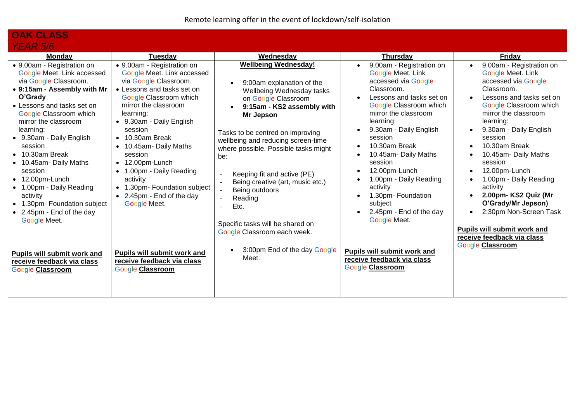| <b>OAK CLASS</b>                                                                                                                                                                                                                                                                                                                                                                                                                                                                       |                                                                                                                                                                                                                                                                                                                                                                                                                                    |                                                                                                                                                                                                                                                                                                                                                                                                                                                             |                                                                                                                                                                                                                                                                                                                                                                                                           |                                                                                                                                                                                                                                                                                                                                                                                                                                                                                               |
|----------------------------------------------------------------------------------------------------------------------------------------------------------------------------------------------------------------------------------------------------------------------------------------------------------------------------------------------------------------------------------------------------------------------------------------------------------------------------------------|------------------------------------------------------------------------------------------------------------------------------------------------------------------------------------------------------------------------------------------------------------------------------------------------------------------------------------------------------------------------------------------------------------------------------------|-------------------------------------------------------------------------------------------------------------------------------------------------------------------------------------------------------------------------------------------------------------------------------------------------------------------------------------------------------------------------------------------------------------------------------------------------------------|-----------------------------------------------------------------------------------------------------------------------------------------------------------------------------------------------------------------------------------------------------------------------------------------------------------------------------------------------------------------------------------------------------------|-----------------------------------------------------------------------------------------------------------------------------------------------------------------------------------------------------------------------------------------------------------------------------------------------------------------------------------------------------------------------------------------------------------------------------------------------------------------------------------------------|
| <b>YEAR 5/6</b>                                                                                                                                                                                                                                                                                                                                                                                                                                                                        |                                                                                                                                                                                                                                                                                                                                                                                                                                    |                                                                                                                                                                                                                                                                                                                                                                                                                                                             |                                                                                                                                                                                                                                                                                                                                                                                                           |                                                                                                                                                                                                                                                                                                                                                                                                                                                                                               |
| <b>Monday</b>                                                                                                                                                                                                                                                                                                                                                                                                                                                                          | Tuesdav                                                                                                                                                                                                                                                                                                                                                                                                                            | Wednesday                                                                                                                                                                                                                                                                                                                                                                                                                                                   | <b>Thursday</b>                                                                                                                                                                                                                                                                                                                                                                                           | Friday                                                                                                                                                                                                                                                                                                                                                                                                                                                                                        |
| • 9.00am - Registration on<br>Google Meet. Link accessed<br>via Google Classroom.<br>• 9:15am - Assembly with Mr<br>O'Grady<br>• Lessons and tasks set on<br><b>Google Classroom which</b><br>mirror the classroom<br>learning:<br>• 9.30am - Daily English<br>session<br>$\bullet$ 10.30am Break<br>• 10.45am- Daily Maths<br>session<br>$\bullet$ 12.00pm-Lunch<br>• 1.00pm - Daily Reading<br>activity<br>• 1.30pm- Foundation subject<br>• 2.45pm - End of the day<br>Google Meet. | • 9.00am - Registration on<br>Google Meet. Link accessed<br>via Google Classroom.<br>• Lessons and tasks set on<br>Google Classroom which<br>mirror the classroom<br>learning:<br>• 9.30am - Daily English<br>session<br>$\bullet$ 10.30am Break<br>10.45am- Daily Maths<br>session<br>12.00pm-Lunch<br>$\bullet$<br>1.00pm - Daily Reading<br>activity<br>1.30pm- Foundation subject<br>• 2.45pm - End of the day<br>Google Meet. | <b>Wellbeing Wednesday!</b><br>9:00am explanation of the<br>Wellbeing Wednesday tasks<br>on Google Classroom<br>9:15am - KS2 assembly with<br>Mr Jepson<br>Tasks to be centred on improving<br>wellbeing and reducing screen-time<br>where possible. Possible tasks might<br>be:<br>Keeping fit and active (PE)<br>Being creative (art, music etc.)<br>Being outdoors<br>Reading<br>Etc.<br>Specific tasks will be shared on<br>Google Classroom each week. | 9.00am - Registration on<br>Google Meet. Link<br>accessed via Google<br>Classroom.<br>Lessons and tasks set on<br>Google Classroom which<br>mirror the classroom<br>learning:<br>9.30am - Daily English<br>session<br>10.30am Break<br>10.45am- Daily Maths<br>session<br>12.00pm-Lunch<br>1.00pm - Daily Reading<br>activity<br>1.30pm- Foundation<br>subject<br>2.45pm - End of the day<br>Google Meet. | 9.00am - Registration on<br>Google Meet. Link<br>accessed via Google<br>Classroom.<br>Lessons and tasks set on<br>Google Classroom which<br>mirror the classroom<br>learning:<br>9.30am - Daily English<br>session<br>10.30am Break<br>10.45am- Daily Maths<br>session<br>12.00pm-Lunch<br>1.00pm - Daily Reading<br>activity<br>2.00pm- KS2 Quiz (Mr<br>O'Grady/Mr Jepson)<br>2:30pm Non-Screen Task<br>Pupils will submit work and<br>receive feedback via class<br><b>Google Classroom</b> |
| Pupils will submit work and<br>receive feedback via class<br><b>Google Classroom</b>                                                                                                                                                                                                                                                                                                                                                                                                   | Pupils will submit work and<br>receive feedback via class<br><b>Google Classroom</b>                                                                                                                                                                                                                                                                                                                                               | 3:00pm End of the day Google<br>Meet.                                                                                                                                                                                                                                                                                                                                                                                                                       | Pupils will submit work and<br>receive feedback via class<br><b>Google Classroom</b>                                                                                                                                                                                                                                                                                                                      |                                                                                                                                                                                                                                                                                                                                                                                                                                                                                               |
|                                                                                                                                                                                                                                                                                                                                                                                                                                                                                        |                                                                                                                                                                                                                                                                                                                                                                                                                                    |                                                                                                                                                                                                                                                                                                                                                                                                                                                             |                                                                                                                                                                                                                                                                                                                                                                                                           |                                                                                                                                                                                                                                                                                                                                                                                                                                                                                               |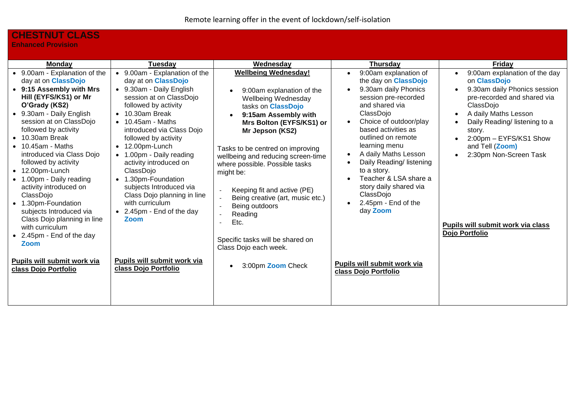## **CHESTNUT CLASS**

**Enhanced Provision**

| <b>Monday</b>                                                                                                                                                                                                                                                                                                                                                                                                                                                                                                                                                                                                               | Tuesdav                                                                                                                                                                                                                                                                                                                                                                                                                                                                                                                                                         | Wednesday                                                                                                                                                                                                                                                                                                                                                                                                                                                                                                                                       | <b>Thursday</b>                                                                                                                                                                                                                                                                                                                                                                                                                                                                                                           | <b>Friday</b>                                                                                                                                                                                                                                                                                                                                                     |
|-----------------------------------------------------------------------------------------------------------------------------------------------------------------------------------------------------------------------------------------------------------------------------------------------------------------------------------------------------------------------------------------------------------------------------------------------------------------------------------------------------------------------------------------------------------------------------------------------------------------------------|-----------------------------------------------------------------------------------------------------------------------------------------------------------------------------------------------------------------------------------------------------------------------------------------------------------------------------------------------------------------------------------------------------------------------------------------------------------------------------------------------------------------------------------------------------------------|-------------------------------------------------------------------------------------------------------------------------------------------------------------------------------------------------------------------------------------------------------------------------------------------------------------------------------------------------------------------------------------------------------------------------------------------------------------------------------------------------------------------------------------------------|---------------------------------------------------------------------------------------------------------------------------------------------------------------------------------------------------------------------------------------------------------------------------------------------------------------------------------------------------------------------------------------------------------------------------------------------------------------------------------------------------------------------------|-------------------------------------------------------------------------------------------------------------------------------------------------------------------------------------------------------------------------------------------------------------------------------------------------------------------------------------------------------------------|
| • 9.00am - Explanation of the<br>day at on <b>ClassDojo</b><br>• 9:15 Assembly with Mrs<br>Hill (EYFS/KS1) or Mr<br>O'Grady (KS2)<br>• 9.30am - Daily English<br>session at on ClassDojo<br>followed by activity<br>$\bullet$ 10.30am Break<br>$\bullet$ 10.45am - Maths<br>introduced via Class Dojo<br>followed by activity<br>$\bullet$ 12.00pm-Lunch<br>• 1.00pm - Daily reading<br>activity introduced on<br>ClassDojo<br>• 1.30pm-Foundation<br>subjects Introduced via<br>Class Dojo planning in line<br>with curriculum<br>• 2.45pm - End of the day<br>Zoom<br>Pupils will submit work via<br>class Dojo Portfolio | • 9.00am - Explanation of the<br>day at on <b>ClassDojo</b><br>• 9.30am - Daily English<br>session at on ClassDojo<br>followed by activity<br>10.30am Break<br>$\bullet$<br>$10.45$ am - Maths<br>introduced via Class Dojo<br>followed by activity<br>12.00pm-Lunch<br>$\bullet$<br>• 1.00pm - Daily reading<br>activity introduced on<br>ClassDojo<br>1.30pm-Foundation<br>$\bullet$<br>subjects Introduced via<br>Class Dojo planning in line<br>with curriculum<br>• 2.45pm - End of the day<br>Zoom<br>Pupils will submit work via<br>class Dojo Portfolio | <b>Wellbeing Wednesday!</b><br>9:00am explanation of the<br>Wellbeing Wednesday<br>tasks on ClassDojo<br>9:15am Assembly with<br>Mrs Bolton (EYFS/KS1) or<br>Mr Jepson (KS2)<br>Tasks to be centred on improving<br>wellbeing and reducing screen-time<br>where possible. Possible tasks<br>might be:<br>Keeping fit and active (PE)<br>$\overline{\phantom{a}}$<br>Being creative (art, music etc.)<br>$\sim$<br>Being outdoors<br>$\sim$<br>Reading<br>Etc.<br>Specific tasks will be shared on<br>Class Dojo each week.<br>3:00pm Zoom Check | 9:00am explanation of<br>$\bullet$<br>the day on <b>ClassDojo</b><br>9.30am daily Phonics<br>$\bullet$<br>session pre-recorded<br>and shared via<br>ClassDojo<br>Choice of outdoor/play<br>based activities as<br>outlined on remote<br>learning menu<br>A daily Maths Lesson<br>$\bullet$<br>Daily Reading/ listening<br>$\bullet$<br>to a story.<br>Teacher & LSA share a<br>story daily shared via<br>ClassDojo<br>2.45pm - End of the<br>$\bullet$<br>day Zoom<br>Pupils will submit work via<br>class Dojo Portfolio | 9:00am explanation of the day<br>$\bullet$<br>on ClassDojo<br>9.30am daily Phonics session<br>$\bullet$<br>pre-recorded and shared via<br>ClassDojo<br>A daily Maths Lesson<br>$\bullet$<br>Daily Reading/ listening to a<br>story.<br>2:00pm - EYFS/KS1 Show<br>and Tell (Zoom)<br>2:30pm Non-Screen Task<br>Pupils will submit work via class<br>Dojo Portfolio |
|                                                                                                                                                                                                                                                                                                                                                                                                                                                                                                                                                                                                                             |                                                                                                                                                                                                                                                                                                                                                                                                                                                                                                                                                                 |                                                                                                                                                                                                                                                                                                                                                                                                                                                                                                                                                 |                                                                                                                                                                                                                                                                                                                                                                                                                                                                                                                           |                                                                                                                                                                                                                                                                                                                                                                   |